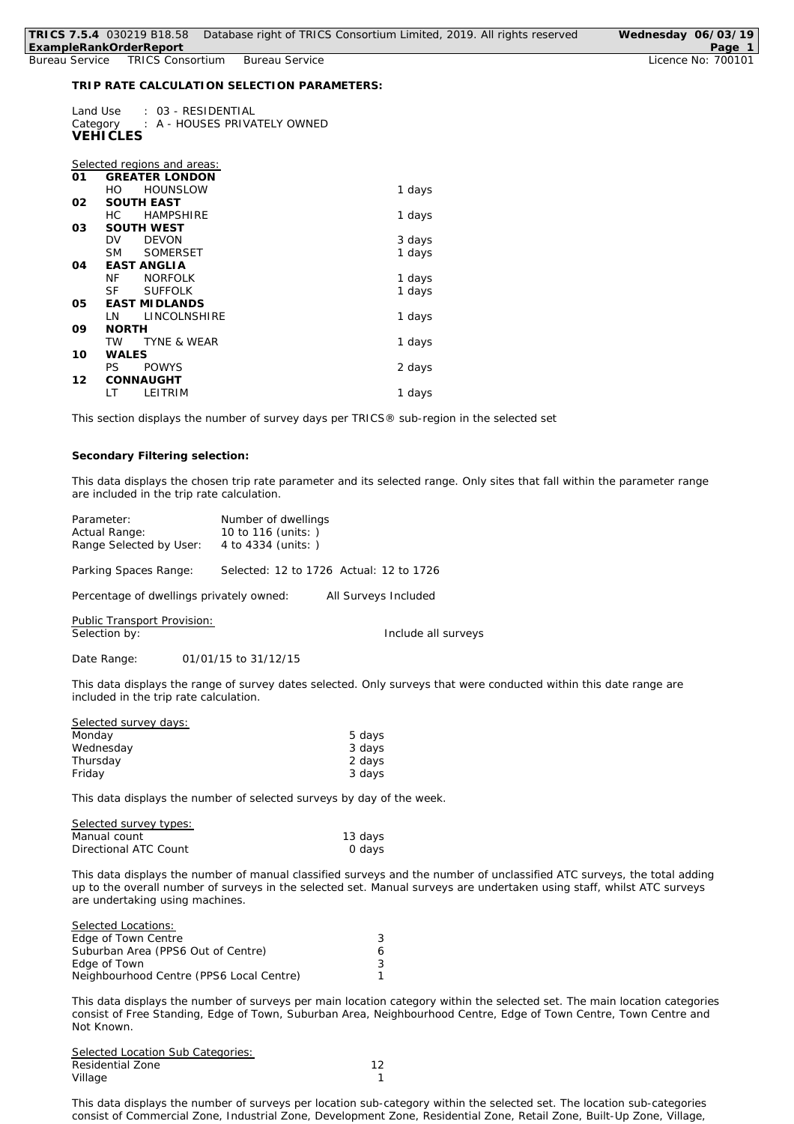|                | HO           | <b>HOUNSLOW</b>        | 1 days |
|----------------|--------------|------------------------|--------|
| 02             |              | <b>SOUTH EAST</b>      |        |
|                | HC.          | <b>HAMPSHIRE</b>       | 1 days |
| O3             |              | <b>SOUTH WEST</b>      |        |
|                | DV           | <b>DEVON</b>           | 3 days |
|                | <b>SM</b>    | <b>SOMERSET</b>        | 1 days |
| O <sub>4</sub> |              | <b>EAST ANGLIA</b>     |        |
|                | ΝF           | <b>NORFOLK</b>         | 1 days |
|                | SF           | <b>SUFFOLK</b>         | 1 days |
| 05             |              | <b>EAST MIDLANDS</b>   |        |
|                | LN           | LINCOLNSHIRE           | 1 days |
| 09             | <b>NORTH</b> |                        |        |
|                | TW           | <b>TYNE &amp; WEAR</b> | 1 days |
| 10             | WALES        |                        |        |
|                | PS           | <b>POWYS</b>           | 2 days |
| 12             |              | CONNAUGHT              |        |
|                | LT           | LEITRIM                | 1 days |
|                |              |                        |        |

*This section displays the number of survey days per TRICS® sub-region in the selected set*

## **Secondary Filtering selection:**

*This data displays the chosen trip rate parameter and its selected range. Only sites that fall within the parameter range are included in the trip rate calculation.*

| Parameter:              | Number of dwellings                     |  |  |
|-------------------------|-----------------------------------------|--|--|
| Actual Range:           | 10 to 116 (units: )                     |  |  |
| Range Selected by User: | 4 to 4334 (units: )                     |  |  |
| Parking Spaces Range:   | Selected: 12 to 1726 Actual: 12 to 1726 |  |  |

Percentage of dwellings privately owned: All Surveys Included

Public Transport Provision:<br>Selection by:

Include all surveys

Date Range: 01/01/15 to 31/12/15

*This data displays the range of survey dates selected. Only surveys that were conducted within this date range are included in the trip rate calculation.*

| Selected survey days: |        |
|-----------------------|--------|
| Monday                | 5 days |
| Wednesday             | 3 days |
| Thursday              | 2 days |
| Friday                | 3 days |
|                       |        |

*This data displays the number of selected surveys by day of the week.*

| Selected survey types: |         |
|------------------------|---------|
| Manual count           | 13 days |
| Directional ATC Count  | 0 days  |

*This data displays the number of manual classified surveys and the number of unclassified ATC surveys, the total adding up to the overall number of surveys in the selected set. Manual surveys are undertaken using staff, whilst ATC surveys are undertaking using machines.*

| <i>Selected Locations:</i>               |   |
|------------------------------------------|---|
| Edge of Town Centre                      | 3 |
| Suburban Area (PPS6 Out of Centre)       | 6 |
| Edge of Town                             | 3 |
| Neighbourhood Centre (PPS6 Local Centre) |   |

*This data displays the number of surveys per main location category within the selected set. The main location categories consist of Free Standing, Edge of Town, Suburban Area, Neighbourhood Centre, Edge of Town Centre, Town Centre and Not Known.*

*Selected Location Sub Categories:* Residential Zone 12 Village **1** 

*This data displays the number of surveys per location sub-category within the selected set. The location sub-categories consist of Commercial Zone, Industrial Zone, Development Zone, Residential Zone, Retail Zone, Built-Up Zone, Village,*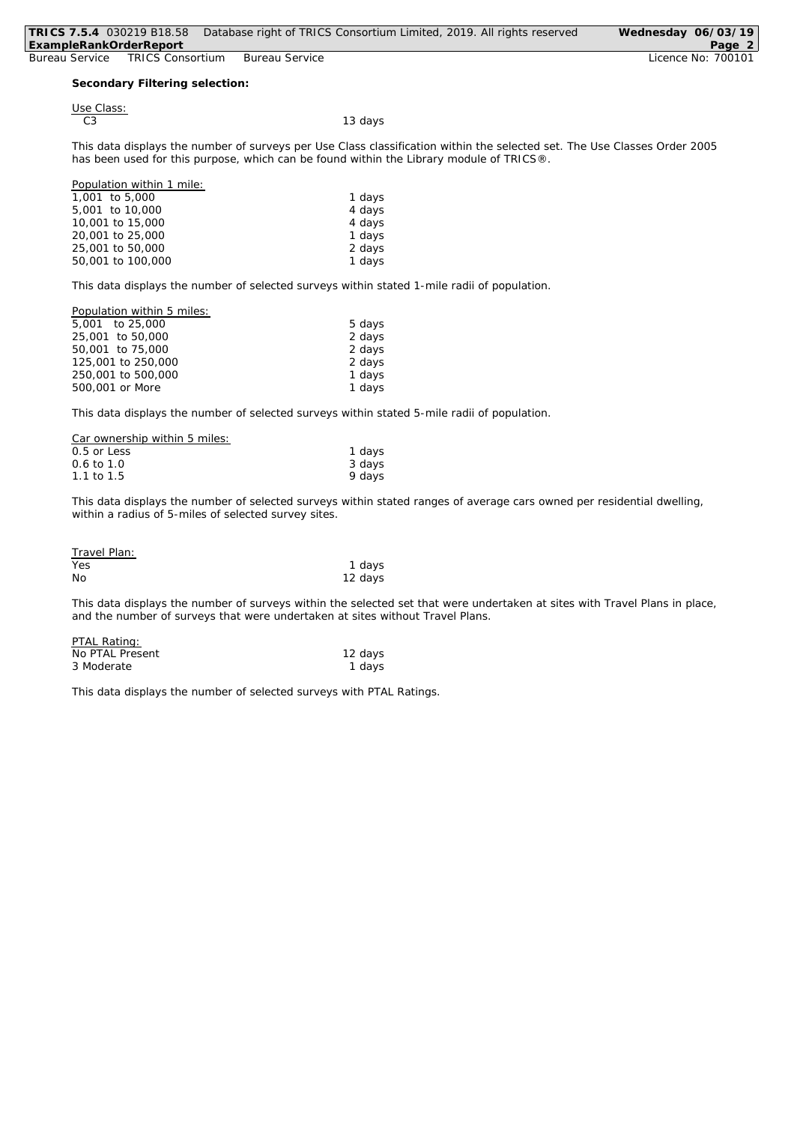| TRICS 7.5.4 030219 B18.58 |                                |                | Database right of TRICS Consortium Limited, 2019. All rights reserved                                                     | Wednesday 06/03/19 |
|---------------------------|--------------------------------|----------------|---------------------------------------------------------------------------------------------------------------------------|--------------------|
| ExampleRankOrderReport    |                                |                |                                                                                                                           | Page 2             |
| Bureau Service            | <b>TRICS Consortium</b>        | Bureau Service |                                                                                                                           | Licence No: 700101 |
|                           |                                |                |                                                                                                                           |                    |
|                           | Secondary Filtering selection: |                |                                                                                                                           |                    |
|                           |                                |                |                                                                                                                           |                    |
| Use Class:                |                                |                |                                                                                                                           |                    |
| C3                        |                                |                | 13 days                                                                                                                   |                    |
|                           |                                |                |                                                                                                                           |                    |
|                           |                                |                | This data displays the number of surveys per Use Class classification within the selected set. The Use Classes Order 2005 |                    |
|                           |                                |                | has been used for this purpose, which can be found within the Library module of TRICS®.                                   |                    |
|                           |                                |                |                                                                                                                           |                    |
|                           | Population within 1 mile:      |                |                                                                                                                           |                    |
| 1,001 to 5,000            |                                |                | 1 days                                                                                                                    |                    |
| 5,001 to 10,000           |                                |                | 4 days                                                                                                                    |                    |
| 10,001 to 15,000          |                                |                | 4 days                                                                                                                    |                    |
| 20,001 to 25,000          |                                |                | 1 days                                                                                                                    |                    |
| 25,001 to 50,000          |                                |                | 2 days                                                                                                                    |                    |
| 50,001 to 100,000         |                                |                | 1 days                                                                                                                    |                    |

*This data displays the number of selected surveys within stated 1-mile radii of population.*

| Population within 5 miles: |        |
|----------------------------|--------|
| 5.001 to 25.000            | 5 days |
| 25,001 to 50,000           | 2 days |
| 50,001 to 75,000           | 2 days |
| 125,001 to 250,000         | 2 days |
| 250,001 to 500,000         | 1 days |
| 500,001 or More            | 1 days |
|                            |        |

*This data displays the number of selected surveys within stated 5-mile radii of population.*

| Car ownership within 5 miles: |        |
|-------------------------------|--------|
| $0.5$ or Less                 | 1 days |
| $0.6 \text{ to } 1.0$         | 3 days |
| 1.1 to 1.5                    | 9 days |

*This data displays the number of selected surveys within stated ranges of average cars owned per residential dwelling, within a radius of 5-miles of selected survey sites.*

| Travel Plan: |         |
|--------------|---------|
| Yes          | 1 days  |
| No           | 12 days |

*This data displays the number of surveys within the selected set that were undertaken at sites with Travel Plans in place, and the number of surveys that were undertaken at sites without Travel Plans.*

| PTAL Rating:    |         |
|-----------------|---------|
| No PTAL Present | 12 days |
| 3 Moderate      | 1 days  |

*This data displays the number of selected surveys with PTAL Ratings.*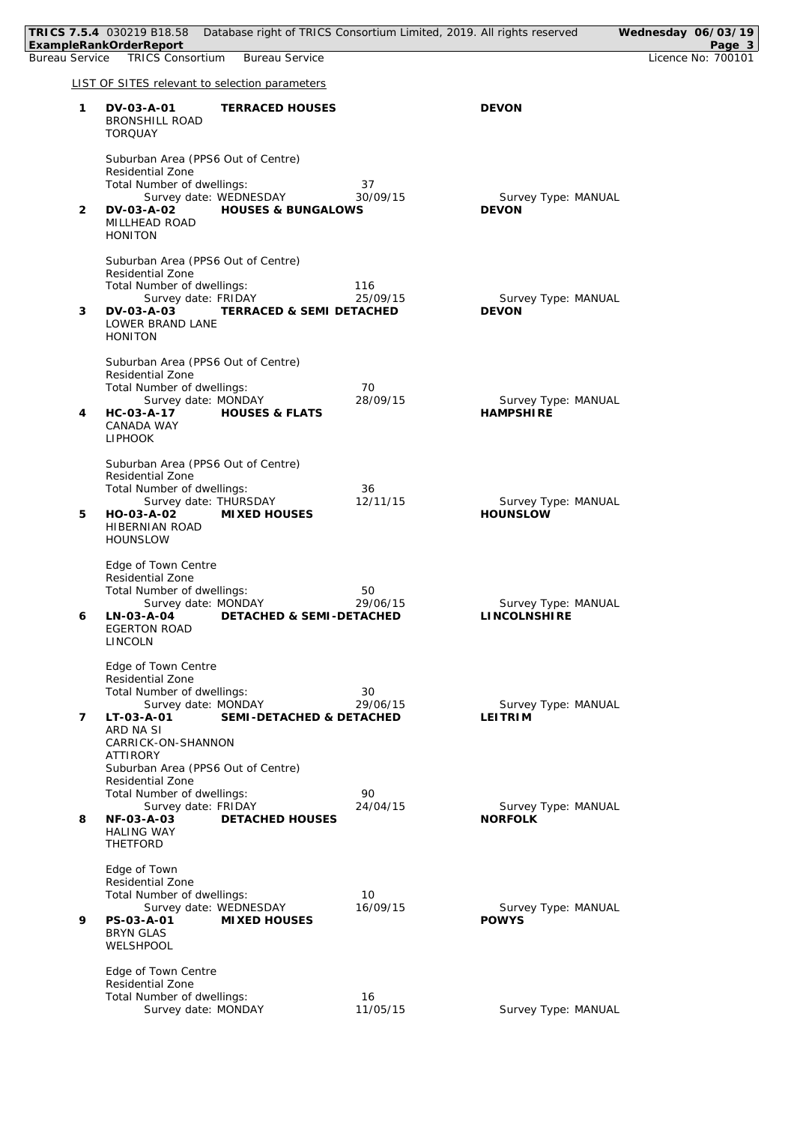|   | TRICS 7.5.4 030219 B18.58 Database right of TRICS Consortium Limited, 2019. All rights reserved<br>ExampleRankOrderReport                                                                               |                 |                                         | Wednesday 06/03/19<br>Page 3 |
|---|---------------------------------------------------------------------------------------------------------------------------------------------------------------------------------------------------------|-----------------|-----------------------------------------|------------------------------|
|   | Bureau Service TRICS Consortium<br><b>Bureau Service</b>                                                                                                                                                |                 |                                         | Licence No: 700101           |
|   | LIST OF SITES relevant to selection parameters                                                                                                                                                          |                 |                                         |                              |
| 1 | DV-03-A-01<br><b>TERRACED HOUSES</b><br><b>BRONSHILL ROAD</b><br><b>TORQUAY</b>                                                                                                                         |                 | <b>DEVON</b>                            |                              |
| 2 | Suburban Area (PPS6 Out of Centre)<br><b>Residential Zone</b><br>Total Number of dwellings:<br>Survey date: WEDNESDAY<br>DV-03-A-02<br><b>HOUSES &amp; BUNGALOWS</b><br>MILLHEAD ROAD<br><b>HONITON</b> | 37<br>30/09/15  | Survey Type: MANUAL<br><b>DEVON</b>     |                              |
| 3 | Suburban Area (PPS6 Out of Centre)<br>Residential Zone<br>Total Number of dwellings:<br>Survey date: FRIDAY<br>DV-03-A-03<br><b>TERRACED &amp; SEMI DETACHED</b><br>LOWER BRAND LANE<br><b>HONITON</b>  | 116<br>25/09/15 | Survey Type: MANUAL<br><b>DEVON</b>     |                              |
| 4 | Suburban Area (PPS6 Out of Centre)<br>Residential Zone<br>Total Number of dwellings:<br>Survey date: MONDAY<br><b>HOUSES &amp; FLATS</b><br>HC-03-A-17<br>CANADA WAY<br><b>LIPHOOK</b>                  | 70<br>28/09/15  | Survey Type: MANUAL<br><b>HAMPSHIRE</b> |                              |
| 5 | Suburban Area (PPS6 Out of Centre)<br>Residential Zone<br>Total Number of dwellings:<br>Survey date: THURSDAY<br>HO-03-A-02<br>MIXED HOUSES<br>HIBERNIAN ROAD<br><b>HOUNSLOW</b>                        | 36<br>12/11/15  | Survey Type: MANUAL<br><b>HOUNSLOW</b>  |                              |
| 6 | Edge of Town Centre<br>Residential Zone<br>Total Number of dwellings:<br>Survey date: MONDAY<br>LN-03-A-04<br>DETACHED & SEMI-DETACHED<br><b>EGERTON ROAD</b><br><b>LINCOLN</b>                         | 50<br>29/06/15  | Survey Type: MANUAL<br>LINCOLNSHIRE     |                              |
| 7 | Edge of Town Centre<br>Residential Zone<br>Total Number of dwellings:<br>Survey date: MONDAY<br>LT-03-A-01<br>SEMI-DETACHED & DETACHED<br>ARD NA SI<br>CARRICK-ON-SHANNON<br>ATTIRORY                   | 30<br>29/06/15  | Survey Type: MANUAL<br><b>LEITRIM</b>   |                              |
| 8 | Suburban Area (PPS6 Out of Centre)<br>Residential Zone<br>Total Number of dwellings:<br>Survey date: FRIDAY<br>NF-03-A-03<br><b>DETACHED HOUSES</b><br><b>HALING WAY</b><br>THETFORD                    | 90<br>24/04/15  | Survey Type: MANUAL<br><b>NORFOLK</b>   |                              |
| 9 | Edge of Town<br>Residential Zone<br>Total Number of dwellings:<br>Survey date: WEDNESDAY<br>PS-03-A-01<br>MIXED HOUSES<br><b>BRYN GLAS</b><br>WELSHPOOL                                                 | 10<br>16/09/15  | Survey Type: MANUAL<br><b>POWYS</b>     |                              |
|   | Edge of Town Centre<br>Residential Zone<br>Total Number of dwellings:<br>Survey date: MONDAY                                                                                                            | 16<br>11/05/15  | Survey Type: MANUAL                     |                              |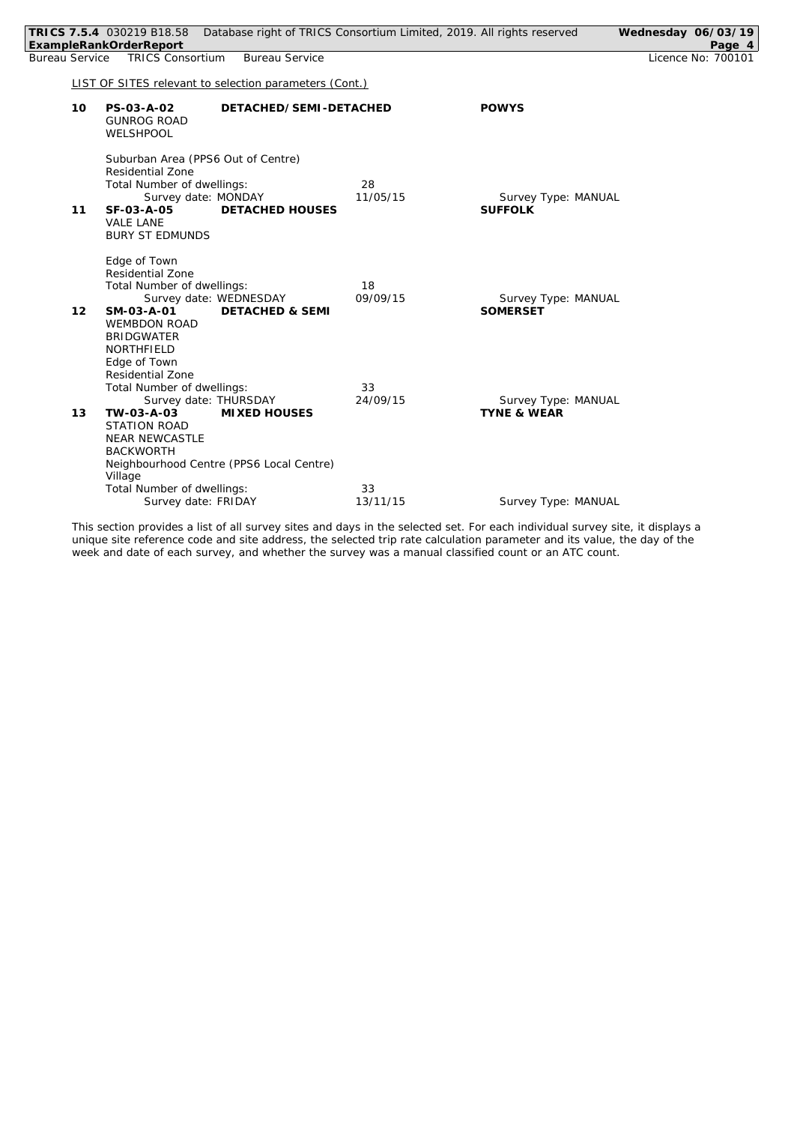| TRICS 7.5.4 030219 B18.58<br>Database right of TRICS Consortium Limited, 2019. All rights reserved<br>ExampleRankOrderReport                                                                                                                                                                                                 | Wednesday 06/03/19<br>Page 4 |
|------------------------------------------------------------------------------------------------------------------------------------------------------------------------------------------------------------------------------------------------------------------------------------------------------------------------------|------------------------------|
| <b>TRICS Consortium</b><br><b>Bureau Service</b><br><b>Bureau Service</b>                                                                                                                                                                                                                                                    | Licence No: 700101           |
| LIST OF SITES relevant to selection parameters (Cont.)                                                                                                                                                                                                                                                                       |                              |
| PS-03-A-02<br>DETACHED/SEMI-DETACHED<br><b>POWYS</b><br>10<br><b>GUNROG ROAD</b><br>WELSHPOOL                                                                                                                                                                                                                                |                              |
| Suburban Area (PPS6 Out of Centre)<br><b>Residential Zone</b><br>Total Number of dwellings:<br>28<br>11/05/15<br>Survey date: MONDAY<br>Survey Type: MANUAL<br>SF-03-A-05<br><b>DETACHED HOUSES</b><br><b>SUFFOLK</b><br>11<br><b>VALE LANE</b><br><b>BURY ST EDMUNDS</b>                                                    |                              |
| Edge of Town<br>Residential Zone<br>Total Number of dwellings:<br>18<br>09/09/15<br>Survey date: WEDNESDAY<br>Survey Type: MANUAL<br><b>SOMERSET</b><br>12<br>SM-03-A-01<br><b>DETACHED &amp; SEMI</b><br><b>WEMBDON ROAD</b><br><b>BRIDGWATER</b><br>NORTHFIELD                                                             |                              |
| Edge of Town<br><b>Residential Zone</b><br>Total Number of dwellings:<br>33<br>24/09/15<br>Survey date: THURSDAY<br>Survey Type: MANUAL<br>13<br>TW-03-A-03<br><b>MIXED HOUSES</b><br><b>TYNE &amp; WEAR</b><br><b>STATION ROAD</b><br><b>NEAR NEWCASTLE</b><br><b>BACKWORTH</b><br>Neighbourhood Centre (PPS6 Local Centre) |                              |
| Village<br>Total Number of dwellings:<br>33<br>Survey date: FRIDAY<br>13/11/15<br>Survey Type: MANUAL                                                                                                                                                                                                                        |                              |

*This section provides a list of all survey sites and days in the selected set. For each individual survey site, it displays a unique site reference code and site address, the selected trip rate calculation parameter and its value, the day of the week and date of each survey, and whether the survey was a manual classified count or an ATC count.*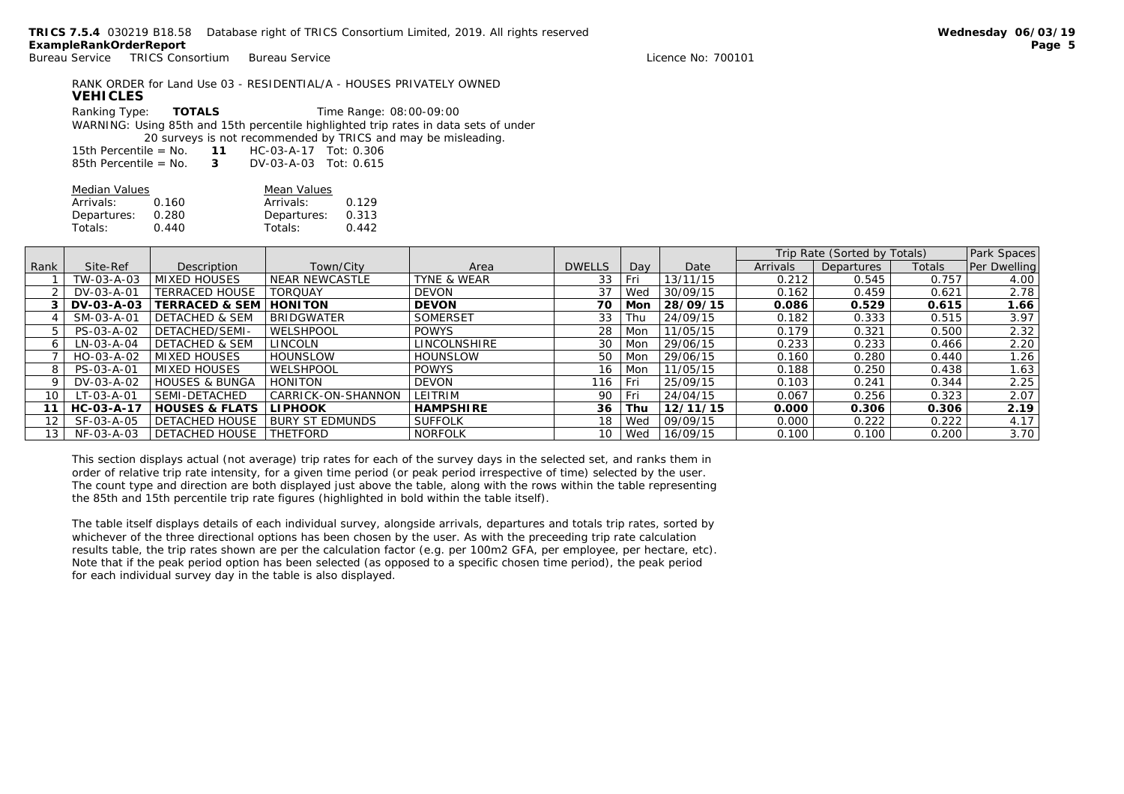| RANK ORDER for Land Use 03 - RESIDENTIAL/A - HOUSES PRIVATELY OWNED<br><b>VEHICLES</b> |                      |  |                                                                                                                                                                                                                                                                                         |  |  |
|----------------------------------------------------------------------------------------|----------------------|--|-----------------------------------------------------------------------------------------------------------------------------------------------------------------------------------------------------------------------------------------------------------------------------------------|--|--|
|                                                                                        |                      |  |                                                                                                                                                                                                                                                                                         |  |  |
|                                                                                        |                      |  |                                                                                                                                                                                                                                                                                         |  |  |
|                                                                                        |                      |  |                                                                                                                                                                                                                                                                                         |  |  |
|                                                                                        |                      |  |                                                                                                                                                                                                                                                                                         |  |  |
|                                                                                        |                      |  |                                                                                                                                                                                                                                                                                         |  |  |
|                                                                                        | Ranking Type: TOTALS |  | Time Range: 08:00-09:00<br>WARNING: Using 85th and 15th percentile highlighted trip rates in data sets of under<br>20 surveys is not recommended by TRICS and may be misleading.<br>15th Percentile = $No. 11 HC-03-A-17 Tot: 0.306$<br>85th Percentile = $No.$ 3 DV-03-A-03 Tot: 0.615 |  |  |

| Median Values |       | Mean Values |       |
|---------------|-------|-------------|-------|
| Arrivals:     | 0.160 | Arrivals:   | 0.129 |
| Departures:   | 0.280 | Departures: | 0.313 |
| Totals:       | 0.440 | Totals:     | 0.442 |

|                 |                    |                           |                        |                  |               |       |          |          | Trip Rate (Sorted by Totals) |        | Park Spaces  |
|-----------------|--------------------|---------------------------|------------------------|------------------|---------------|-------|----------|----------|------------------------------|--------|--------------|
| Rank            | Site-Ref           | Description               | Town/City              | Area             | <b>DWELLS</b> | Day   | Date     | Arrivals | Departures                   | Totals | Per Dwelling |
|                 | TW-03-A-03         | <b>MIXED HOUSES</b>       | NEAR NEWCASTLE         | TYNE & WEAR      | 33            | Fri   | 13/11/15 | 0.212    | 0.545                        | 0.757  | 4.00         |
|                 | DV-03-A-01         | <b>TERRACED HOUSE</b>     | <b>TORQUAY</b>         | <b>DEVON</b>     | 37            | Wed   | 30/09/15 | 0.162    | 0.459                        | 0.621  | 2.78         |
|                 | DV-03-A-03         | TERRACED & SEM            | <b>HONITON</b>         | <b>DEVON</b>     | 70            | Mon   | 28/09/15 | 0.086    | 0.529                        | 0.615  | .66          |
|                 | SM-03-A-01         | <b>DETACHED &amp; SEM</b> | <b>BRIDGWATER</b>      | SOMERSET         | 33            | Thu   | 24/09/15 | 0.182    | 0.333                        | 0.515  | 3.97         |
|                 | PS-03-A-02         | DETACHED/SEMI-            | WELSHPOOL              | <b>POWYS</b>     | 28            | Mon   | 11/05/15 | 0.179    | 0.321                        | 0.500  | 2.32         |
| 6               | LN-03-A-04         | <b>DETACHED &amp; SEM</b> | <b>LINCOLN</b>         | LINCOLNSHIRE     | 30            | Mon   | 29/06/15 | 0.233    | 0.233                        | 0.466  | 2.20         |
|                 | HO-03-A-02         | <b>MIXED HOUSES</b>       | <b>HOUNSLOW</b>        | <b>HOUNSLOW</b>  | 50            | Mon   | 29/06/15 | 0.160    | 0.280                        | 0.440  | 1.26         |
| 8               | PS-03-A-01         | <b>MIXED HOUSES</b>       | WELSHPOOL              | <b>POWYS</b>     | 16            | Mon   | 11/05/15 | 0.188    | 0.250                        | 0.438  | 1.63         |
|                 | DV-03-A-02         | <b>HOUSES &amp; BUNGA</b> | HONITON                | <b>DEVON</b>     | 116           | Fri   | 25/09/15 | 0.103    | 0.241                        | 0.344  | 2.25         |
| 10              | LT-03-A-01         | SEMI-DETACHED             | CARRICK-ON-SHANNON     | <b>LEITRIM</b>   | 90            | l Fri | 24/04/15 | 0.067    | 0.256                        | 0.323  | 2.07         |
| 11              | $HC - O3 - A - 17$ | <b>HOUSES &amp; FLATS</b> | LI PHOOK               | <b>HAMPSHIRE</b> | 36            | Thu   | 12/11/15 | 0.000    | 0.306                        | 0.306  | 2.19         |
| 12 <sub>1</sub> | SF-03-A-05         | <b>DETACHED HOUSE</b>     | <b>BURY ST EDMUNDS</b> | <b>SUFFOLK</b>   | 18            | Wed   | 09/09/15 | 0.000    | 0.222                        | 0.222  | 4.17         |
| 13 <sub>1</sub> | NF-03-A-03         | DETACHED HOUSE            | <b>THETFORD</b>        | <b>NORFOLK</b>   | 10            | Wed   | 16/09/15 | 0.100    | 0.100                        | 0.200  | 3.70         |

*This section displays actual (not average) trip rates for each of the survey days in the selected set, and ranks them in order of relative trip rate intensity, for a given time period (or peak period irrespective of time) selected by the user. The count type and direction are both displayed just above the table, along with the rows within the table representing the 85th and 15th percentile trip rate figures (highlighted in bold within the table itself).*

*The table itself displays details of each individual survey, alongside arrivals, departures and totals trip rates, sorted by whichever of the three directional options has been chosen by the user. As with the preceeding trip rate calculation results table, the trip rates shown are per the calculation factor (e.g. per 100m2 GFA, per employee, per hectare, etc). Note that if the peak period option has been selected (as opposed to a specific chosen time period), the peak period for each individual survey day in the table is also displayed.*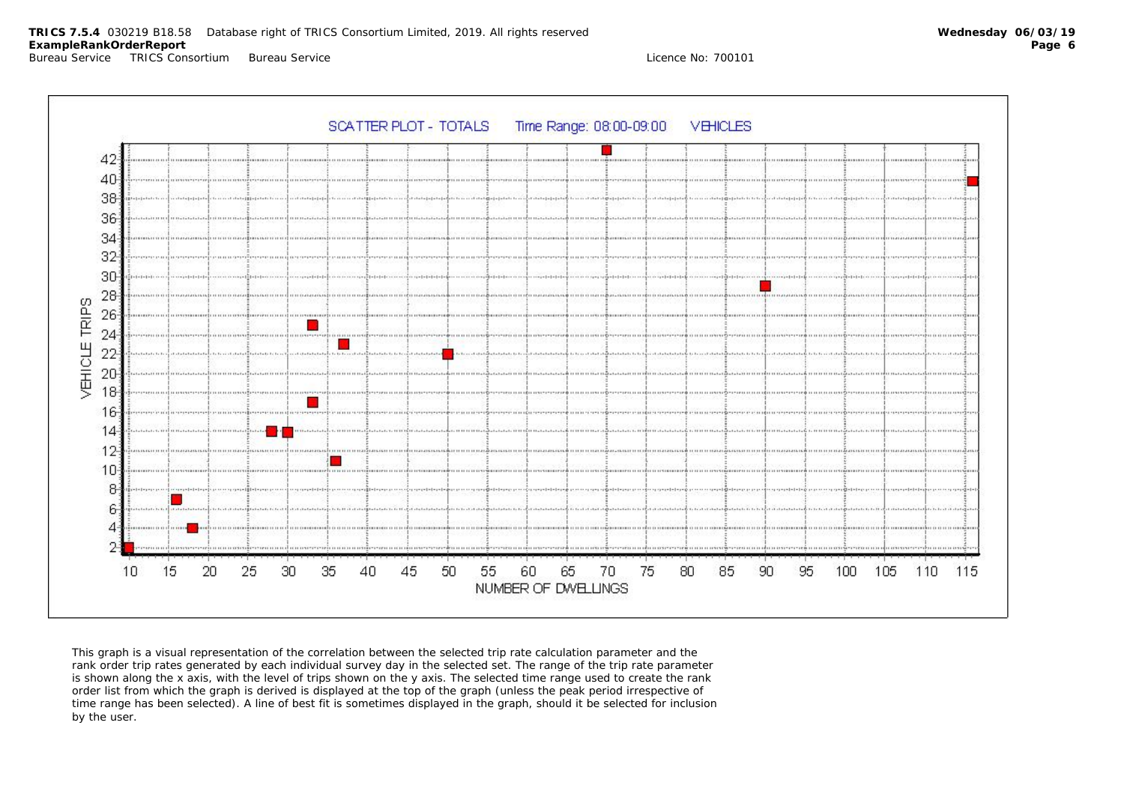



*This graph is a visual representation of the correlation between the selected trip rate calculation parameter and the rank order trip rates generated by each individual survey day in the selected set. The range of the trip rate parameter is shown along the x axis, with the level of trips shown on the y axis. The selected time range used to create the rank order list from which the graph is derived is displayed at the top of the graph (unless the peak period irrespective of time range has been selected). A line of best fit is sometimes displayed in the graph, should it be selected for inclusion by the user.*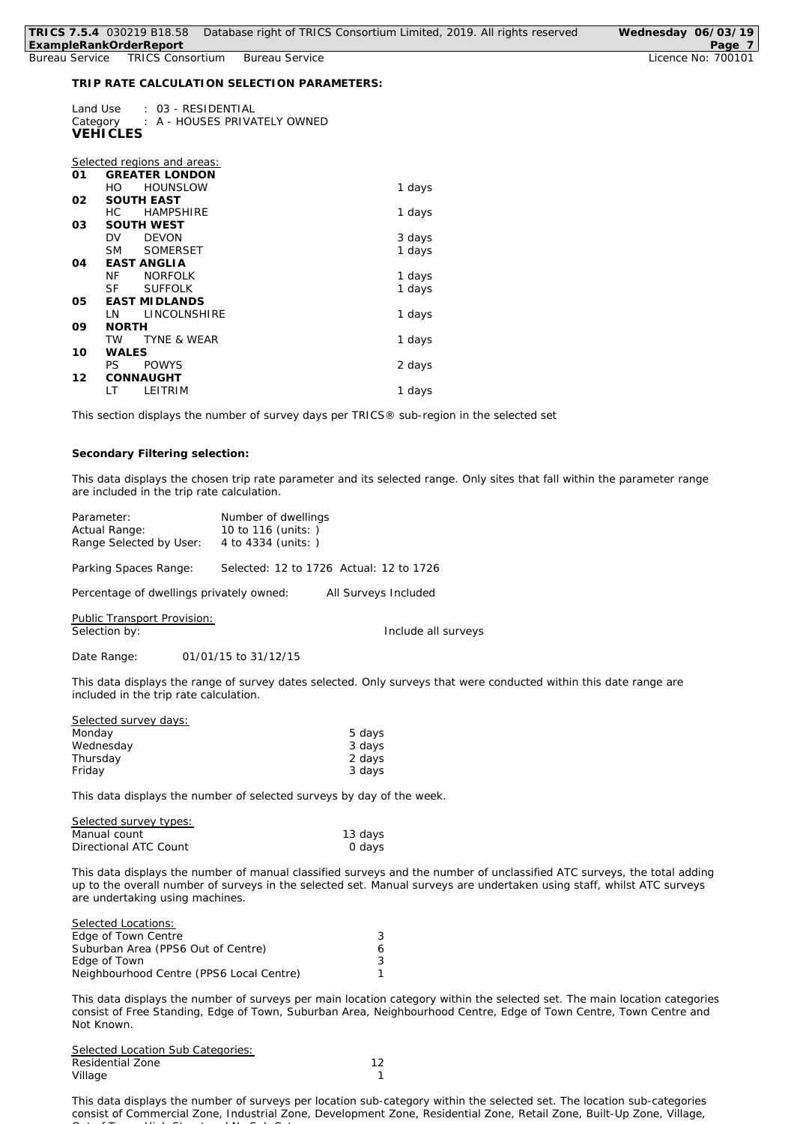| TRICS 7.5.4 030219 B18.58<br>ExampleRankOrderReport |                             |                             |                                             | Database right of TRICS Consortium Limited, 2019. All rights reserved | Wednesday 06/03/19<br>Page 7 |
|-----------------------------------------------------|-----------------------------|-----------------------------|---------------------------------------------|-----------------------------------------------------------------------|------------------------------|
| Bureau Service                                      |                             | <b>TRICS Consortium</b>     | <b>Bureau Service</b>                       |                                                                       | Licence No: 700101           |
|                                                     |                             |                             |                                             |                                                                       |                              |
|                                                     |                             |                             | TRIP RATE CALCULATION SELECTION PARAMETERS: |                                                                       |                              |
|                                                     | Land Use<br><b>VEHICLES</b> | : 03 - RESIDENTIAL          | Category : A - HOUSES PRIVATELY OWNED       |                                                                       |                              |
|                                                     |                             |                             |                                             |                                                                       |                              |
|                                                     |                             |                             |                                             |                                                                       |                              |
|                                                     |                             | Selected regions and areas: |                                             |                                                                       |                              |
| O1                                                  |                             | <b>GREATER LONDON</b>       |                                             |                                                                       |                              |
|                                                     | HO.                         | <b>HOUNSLOW</b>             |                                             | 1 days                                                                |                              |
| 02                                                  |                             | <b>SOUTH EAST</b>           |                                             |                                                                       |                              |
|                                                     | HC.                         | <b>HAMPSHIRE</b>            |                                             | 1 days                                                                |                              |
| 03                                                  |                             | <b>SOUTH WEST</b>           |                                             |                                                                       |                              |
|                                                     | <b>DV</b>                   | <b>DEVON</b>                |                                             | 3 days                                                                |                              |
|                                                     | <b>SM</b>                   | <b>SOMERSET</b>             |                                             | 1 days                                                                |                              |
| 04                                                  |                             | <b>EAST ANGLIA</b>          |                                             |                                                                       |                              |
|                                                     | NF.                         | <b>NORFOLK</b>              |                                             | 1 days                                                                |                              |
|                                                     | <b>SF</b>                   | <b>SUFFOLK</b>              |                                             | 1 days                                                                |                              |
| 05                                                  |                             | <b>EAST MIDLANDS</b>        |                                             |                                                                       |                              |
|                                                     | LN                          | LINCOLNSHIRE                |                                             | 1 days                                                                |                              |
| 09                                                  | <b>NORTH</b>                |                             |                                             |                                                                       |                              |
|                                                     | <b>TW</b>                   | <b>TYNE &amp; WEAR</b>      |                                             | 1 days                                                                |                              |
| 10                                                  | WALES                       |                             |                                             |                                                                       |                              |
|                                                     | PS                          | <b>POWYS</b>                |                                             | 2 days                                                                |                              |
|                                                     |                             |                             |                                             |                                                                       |                              |

*This section displays the number of survey days per TRICS® sub-region in the selected set*

## **Secondary Filtering selection:**

**12 CONNAUGHT**

*This data displays the chosen trip rate parameter and its selected range. Only sites that fall within the parameter range are included in the trip rate calculation.*

2 days

| Parameter:                               | Number of dwellings                     |
|------------------------------------------|-----------------------------------------|
| Actual Range:                            | 10 to 116 (units: )                     |
| Range Selected by User:                  | 4 to 4334 (units: )                     |
| Parking Spaces Range:                    | Selected: 12 to 1726 Actual: 12 to 1726 |
| Percentage of dwellings privately owned: | All Surveys Included                    |

LT LEITRIM 1 days

Public Transport Provision: Selection by: **Include all surveys** 

Date Range: 01/01/15 to 31/12/15

*This data displays the range of survey dates selected. Only surveys that were conducted within this date range are included in the trip rate calculation.*

| Selected survey days: |        |
|-----------------------|--------|
| Monday                | 5 days |
| Wednesday             | 3 days |
| Thursday              | 2 days |
| Friday                | 3 days |

*This data displays the number of selected surveys by day of the week.*

| Selected survey types: |         |
|------------------------|---------|
| Manual count           | 13 days |
| Directional ATC Count  | 0 days  |

*This data displays the number of manual classified surveys and the number of unclassified ATC surveys, the total adding up to the overall number of surveys in the selected set. Manual surveys are undertaken using staff, whilst ATC surveys are undertaking using machines.*

| <i>Selected Locations:</i>               |   |
|------------------------------------------|---|
| Edge of Town Centre                      | 3 |
| Suburban Area (PPS6 Out of Centre)       | 6 |
| Edge of Town                             | 3 |
| Neighbourhood Centre (PPS6 Local Centre) |   |

*This data displays the number of surveys per main location category within the selected set. The main location categories consist of Free Standing, Edge of Town, Suburban Area, Neighbourhood Centre, Edge of Town Centre, Town Centre and Not Known.*

*Selected Location Sub Categories:* Residential Zone 12 Village **1** 

*This data displays the number of surveys per location sub-category within the selected set. The location sub-categories consist of Commercial Zone, Industrial Zone, Development Zone, Residential Zone, Retail Zone, Built-Up Zone, Village, Out of Town, High Street and No Sub Category.*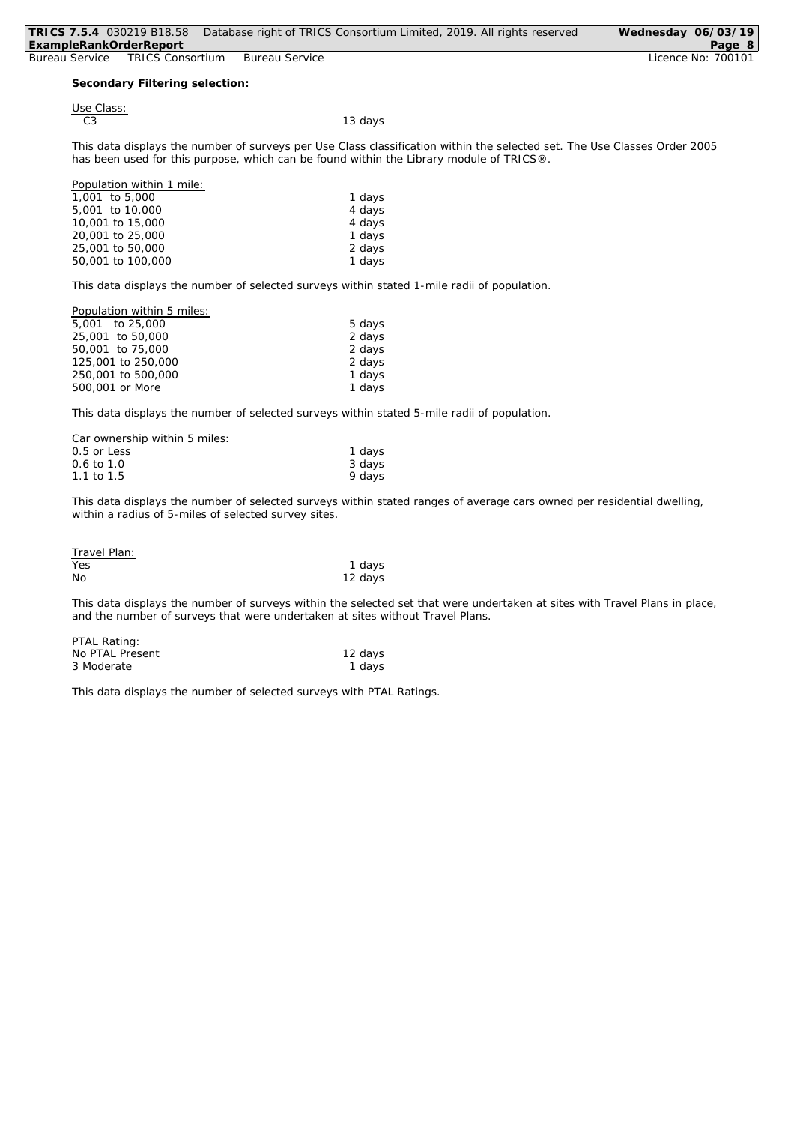| TRICS 7.5.4 030219 B18.58 |                                |                       | Database right of TRICS Consortium Limited, 2019. All rights reserved                                                     | Wednesday 06/03/19 |
|---------------------------|--------------------------------|-----------------------|---------------------------------------------------------------------------------------------------------------------------|--------------------|
| ExampleRankOrderReport    |                                |                       |                                                                                                                           | Page 8             |
| Bureau Service            | <b>TRICS Consortium</b>        | <b>Bureau Service</b> |                                                                                                                           | Licence No: 700101 |
|                           |                                |                       |                                                                                                                           |                    |
|                           | Secondary Filtering selection: |                       |                                                                                                                           |                    |
|                           |                                |                       |                                                                                                                           |                    |
| Use Class:                |                                |                       |                                                                                                                           |                    |
| C <sub>3</sub>            |                                |                       | 13 days                                                                                                                   |                    |
|                           |                                |                       |                                                                                                                           |                    |
|                           |                                |                       | This data displays the number of surveys per Use Class classification within the selected set. The Use Classes Order 2005 |                    |
|                           |                                |                       | has been used for this purpose, which can be found within the Library module of TRICS®.                                   |                    |
|                           |                                |                       |                                                                                                                           |                    |
|                           | Population within 1 mile:      |                       |                                                                                                                           |                    |
| 1,001 to 5,000            |                                |                       | 1 days                                                                                                                    |                    |
| 5,001 to 10,000           |                                |                       | 4 days                                                                                                                    |                    |
| 10,001 to 15,000          |                                |                       | 4 days                                                                                                                    |                    |
| 20,001 to 25,000          |                                |                       | 1 days                                                                                                                    |                    |
| 25,001 to 50,000          |                                |                       | 2 days                                                                                                                    |                    |
|                           | 50,001 to 100,000              |                       | 1 days                                                                                                                    |                    |

*This data displays the number of selected surveys within stated 1-mile radii of population.*

| Population within 5 miles: |        |
|----------------------------|--------|
| 5.001 to 25.000            | 5 days |
| 25,001 to 50,000           | 2 days |
| 50,001 to 75,000           | 2 days |
| 125,001 to 250,000         | 2 days |
| 250,001 to 500,000         | 1 days |
| 500,001 or More            | 1 days |
|                            |        |

*This data displays the number of selected surveys within stated 5-mile radii of population.*

| Car ownership within 5 miles: |        |
|-------------------------------|--------|
| $0.5$ or Less                 | 1 days |
| $0.6 \text{ to } 1.0$         | 3 days |
| 1.1 to 1.5                    | 9 days |

*This data displays the number of selected surveys within stated ranges of average cars owned per residential dwelling, within a radius of 5-miles of selected survey sites.*

| Travel Plan: |         |
|--------------|---------|
| Yes          | 1 days  |
| No           | 12 days |

*This data displays the number of surveys within the selected set that were undertaken at sites with Travel Plans in place, and the number of surveys that were undertaken at sites without Travel Plans.*

| PTAL Rating:    |         |
|-----------------|---------|
| No PTAL Present | 12 days |
| 3 Moderate      | 1 days  |

*This data displays the number of selected surveys with PTAL Ratings.*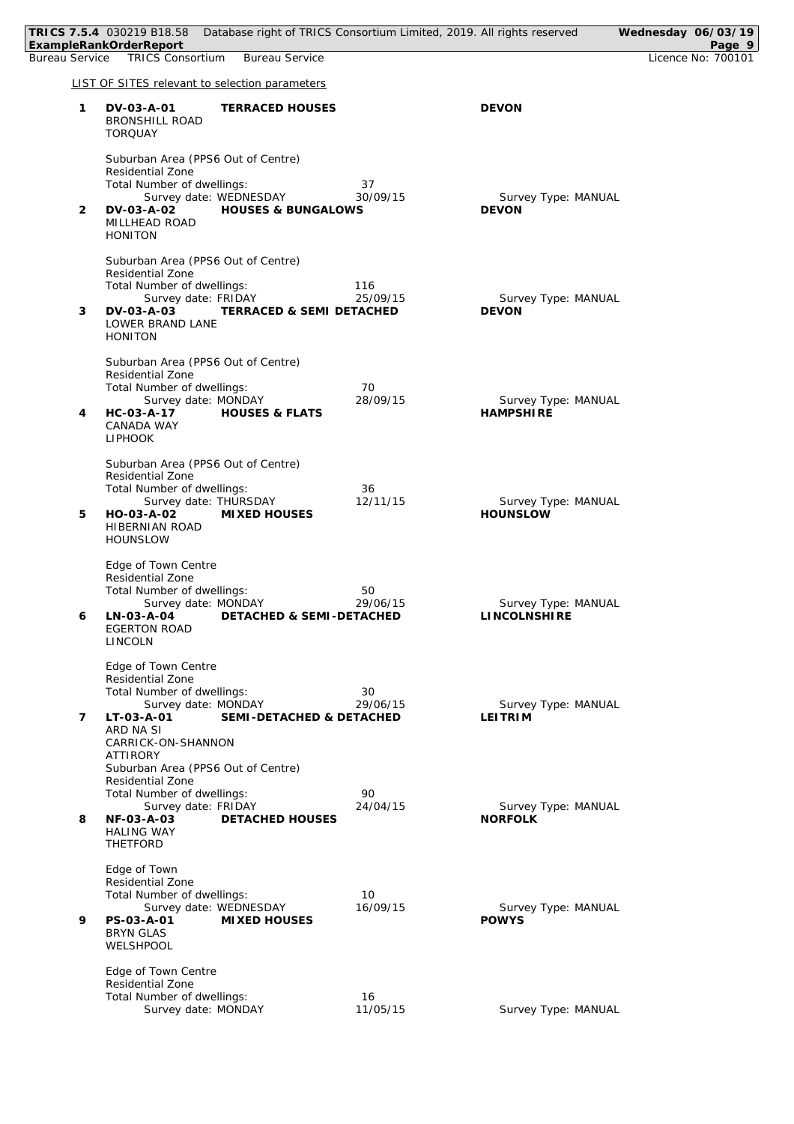|   | TRICS 7.5.4 030219 B18.58 Database right of TRICS Consortium Limited, 2019. All rights reserved<br>ExampleRankOrderReport                                                                               |                 |                                         | Wednesday 06/03/19<br>Page 9 |
|---|---------------------------------------------------------------------------------------------------------------------------------------------------------------------------------------------------------|-----------------|-----------------------------------------|------------------------------|
|   | Bureau Service TRICS Consortium<br><b>Bureau Service</b>                                                                                                                                                |                 |                                         | Licence No: 700101           |
|   | LIST OF SITES relevant to selection parameters                                                                                                                                                          |                 |                                         |                              |
| 1 | DV-03-A-01<br><b>TERRACED HOUSES</b><br><b>BRONSHILL ROAD</b><br><b>TORQUAY</b>                                                                                                                         |                 | <b>DEVON</b>                            |                              |
| 2 | Suburban Area (PPS6 Out of Centre)<br><b>Residential Zone</b><br>Total Number of dwellings:<br>Survey date: WEDNESDAY<br>DV-03-A-02<br><b>HOUSES &amp; BUNGALOWS</b><br>MILLHEAD ROAD<br><b>HONITON</b> | 37<br>30/09/15  | Survey Type: MANUAL<br><b>DEVON</b>     |                              |
| 3 | Suburban Area (PPS6 Out of Centre)<br>Residential Zone<br>Total Number of dwellings:<br>Survey date: FRIDAY<br>DV-03-A-03<br><b>TERRACED &amp; SEMI DETACHED</b><br>LOWER BRAND LANE<br><b>HONITON</b>  | 116<br>25/09/15 | Survey Type: MANUAL<br><b>DEVON</b>     |                              |
| 4 | Suburban Area (PPS6 Out of Centre)<br>Residential Zone<br>Total Number of dwellings:<br>Survey date: MONDAY<br><b>HOUSES &amp; FLATS</b><br>HC-03-A-17<br>CANADA WAY<br><b>LIPHOOK</b>                  | 70<br>28/09/15  | Survey Type: MANUAL<br><b>HAMPSHIRE</b> |                              |
| 5 | Suburban Area (PPS6 Out of Centre)<br>Residential Zone<br>Total Number of dwellings:<br>Survey date: THURSDAY<br>HO-03-A-02<br>MIXED HOUSES<br>HIBERNIAN ROAD<br><b>HOUNSLOW</b>                        | 36<br>12/11/15  | Survey Type: MANUAL<br><b>HOUNSLOW</b>  |                              |
| 6 | Edge of Town Centre<br>Residential Zone<br>Total Number of dwellings:<br>Survey date: MONDAY<br>LN-03-A-04<br>DETACHED & SEMI-DETACHED<br><b>EGERTON ROAD</b><br><b>LINCOLN</b>                         | 50<br>29/06/15  | Survey Type: MANUAL<br>LINCOLNSHIRE     |                              |
| 7 | Edge of Town Centre<br>Residential Zone<br>Total Number of dwellings:<br>Survey date: MONDAY<br>LT-03-A-01<br>SEMI-DETACHED & DETACHED<br>ARD NA SI<br>CARRICK-ON-SHANNON<br>ATTIRORY                   | 30<br>29/06/15  | Survey Type: MANUAL<br><b>LEITRIM</b>   |                              |
| 8 | Suburban Area (PPS6 Out of Centre)<br>Residential Zone<br>Total Number of dwellings:<br>Survey date: FRIDAY<br>NF-03-A-03<br><b>DETACHED HOUSES</b><br><b>HALING WAY</b><br>THETFORD                    | 90<br>24/04/15  | Survey Type: MANUAL<br><b>NORFOLK</b>   |                              |
| 9 | Edge of Town<br>Residential Zone<br>Total Number of dwellings:<br>Survey date: WEDNESDAY<br>PS-03-A-01<br>MIXED HOUSES<br><b>BRYN GLAS</b><br>WELSHPOOL                                                 | 10<br>16/09/15  | Survey Type: MANUAL<br><b>POWYS</b>     |                              |
|   | Edge of Town Centre<br>Residential Zone<br>Total Number of dwellings:<br>Survey date: MONDAY                                                                                                            | 16<br>11/05/15  | Survey Type: MANUAL                     |                              |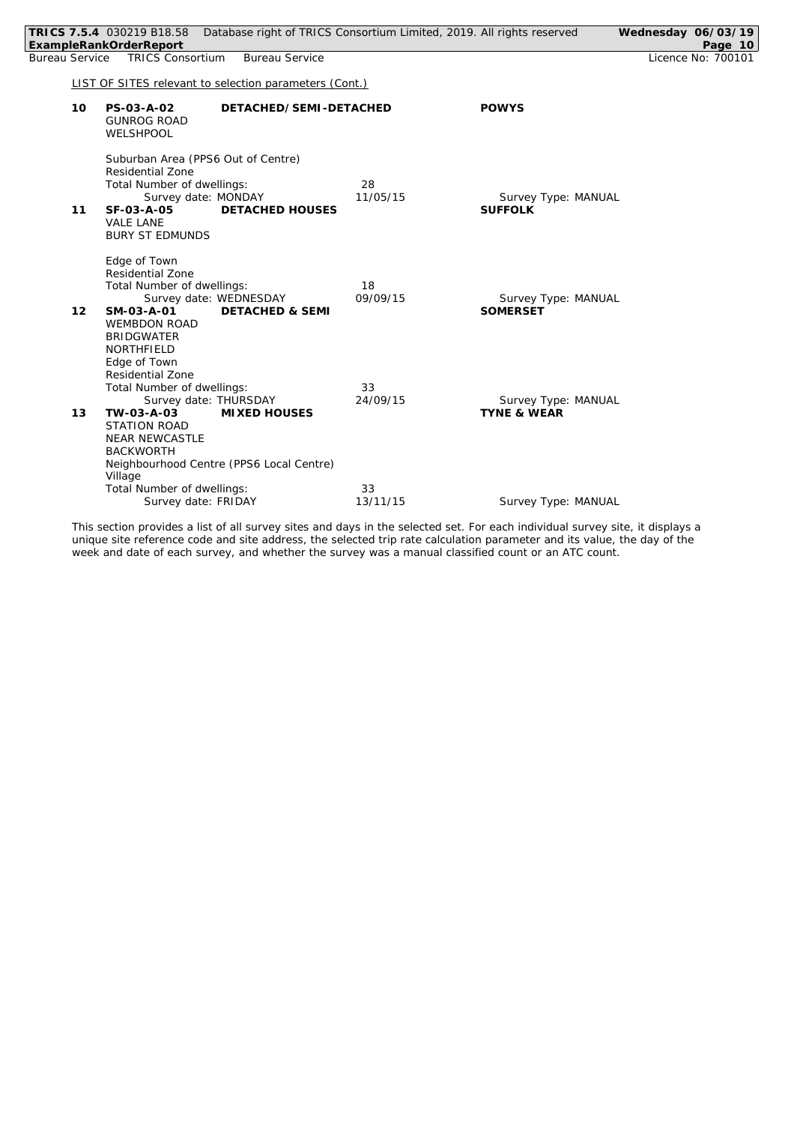|                |    | TRICS 7.5.4 030219 B18.58<br>ExampleRankOrderReport                                                                                                                                                                     |                                                      |                | Database right of TRICS Consortium Limited, 2019. All rights reserved | Wednesday 06/03/19 | Page 10            |
|----------------|----|-------------------------------------------------------------------------------------------------------------------------------------------------------------------------------------------------------------------------|------------------------------------------------------|----------------|-----------------------------------------------------------------------|--------------------|--------------------|
| Bureau Service |    | <b>TRICS Consortium</b>                                                                                                                                                                                                 | <b>Bureau Service</b>                                |                |                                                                       |                    | Licence No: 700101 |
|                |    | LIST OF SITES relevant to selection parameters (Cont.)                                                                                                                                                                  |                                                      |                |                                                                       |                    |                    |
|                | 10 | PS-03-A-02<br><b>GUNROG ROAD</b><br>WELSHPOOL                                                                                                                                                                           | DETACHED/SEMI-DETACHED                               |                | <b>POWYS</b>                                                          |                    |                    |
|                | 11 | Suburban Area (PPS6 Out of Centre)<br><b>Residential Zone</b><br>Total Number of dwellings:<br>Survey date: MONDAY<br>SF-03-A-05<br><b>VALE LANE</b><br><b>BURY ST EDMUNDS</b>                                          | <b>DETACHED HOUSES</b>                               | 28<br>11/05/15 | Survey Type: MANUAL<br><b>SUFFOLK</b>                                 |                    |                    |
|                | 12 | Edge of Town<br>Residential Zone<br>Total Number of dwellings:<br>SM-03-A-01<br><b>WEMBDON ROAD</b><br><b>BRIDGWATER</b><br>NORTHFIELD<br>Edge of Town                                                                  | Survey date: WEDNESDAY<br><b>DETACHED &amp; SEMI</b> | 18<br>09/09/15 | Survey Type: MANUAL<br><b>SOMERSET</b>                                |                    |                    |
|                | 13 | <b>Residential Zone</b><br>Total Number of dwellings:<br>Survey date: THURSDAY<br>TW-03-A-03<br><b>STATION ROAD</b><br><b>NEAR NEWCASTLE</b><br><b>BACKWORTH</b><br>Neighbourhood Centre (PPS6 Local Centre)<br>Village | <b>MIXED HOUSES</b>                                  | 33<br>24/09/15 | Survey Type: MANUAL<br><b>TYNE &amp; WEAR</b>                         |                    |                    |
|                |    | Total Number of dwellings:<br>Survey date: FRIDAY                                                                                                                                                                       |                                                      | 33<br>13/11/15 | Survey Type: MANUAL                                                   |                    |                    |
|                |    |                                                                                                                                                                                                                         |                                                      |                |                                                                       |                    |                    |

*This section provides a list of all survey sites and days in the selected set. For each individual survey site, it displays a unique site reference code and site address, the selected trip rate calculation parameter and its value, the day of the week and date of each survey, and whether the survey was a manual classified count or an ATC count.*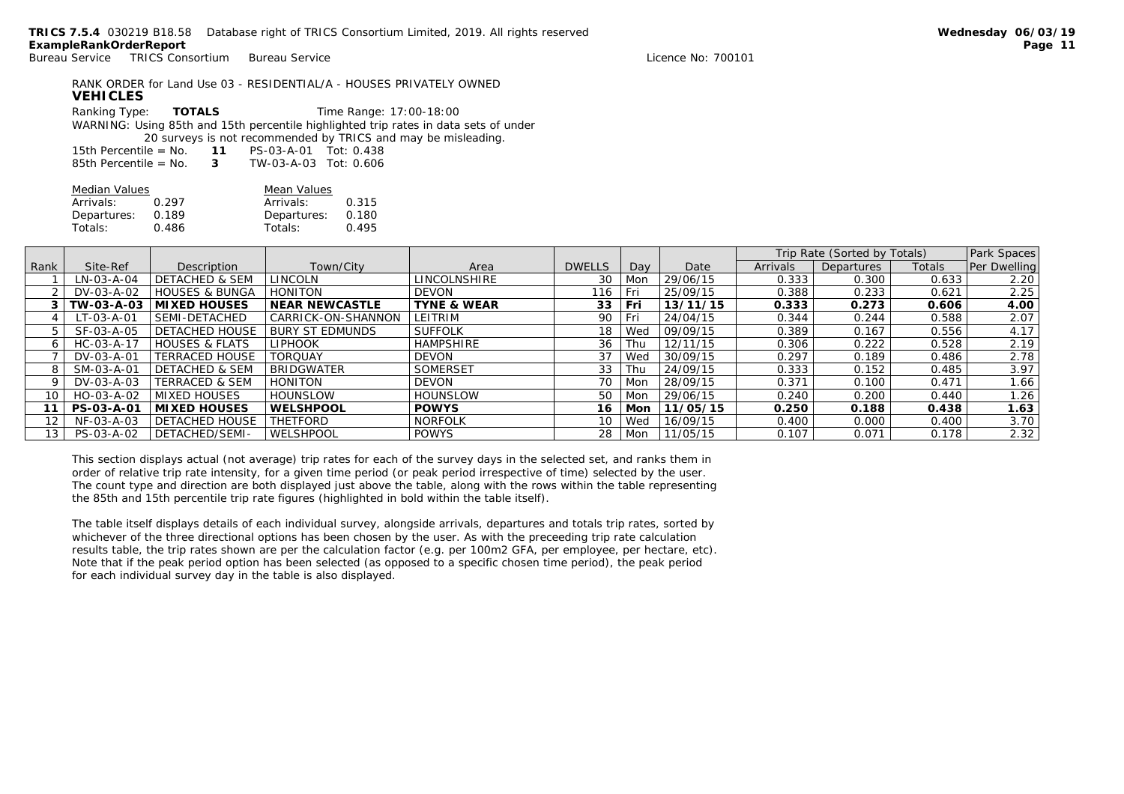| <b>VEHICLES</b>                                                                      |  | RANK ORDER for Land Use 03 - RESIDENTIAL/A - HOUSES PRIVATELY OWNED |  |  |  |  |
|--------------------------------------------------------------------------------------|--|---------------------------------------------------------------------|--|--|--|--|
| Ranking Type: TOTALS                                                                 |  | Time Range: 17:00-18:00                                             |  |  |  |  |
| WARNING: Using 85th and 15th percentile highlighted trip rates in data sets of under |  |                                                                     |  |  |  |  |
| 20 surveys is not recommended by TRICS and may be misleading.                        |  |                                                                     |  |  |  |  |
| 15th Percentile = $No. 11 PS-03-A-01 Tot: 0.438$                                     |  |                                                                     |  |  |  |  |
| 85th Percentile = $No. 3$ TW-03-A-03 Tot: 0.606                                      |  |                                                                     |  |  |  |  |

| Median Values |       | Mean Values |       |  |  |
|---------------|-------|-------------|-------|--|--|
| Arrivals:     | 0.297 | Arrivals:   | 0.315 |  |  |
| Departures:   | 0.189 | Departures: | 0.180 |  |  |
| Totals:       | 0.486 | Totals:     | 0.495 |  |  |
|               |       |             |       |  |  |

|                   |                    |                           |                        |                        |               |     |          | Trip Rate (Sorted by Totals) |            | Park Spaces |              |
|-------------------|--------------------|---------------------------|------------------------|------------------------|---------------|-----|----------|------------------------------|------------|-------------|--------------|
| Rank              | Site-Ref           | Description               | Town/City              | Area                   | <b>DWELLS</b> | Dav | Date     | <b>Arrivals</b>              | Departures | Totals      | Per Dwelling |
|                   | LN-03-A-04         | <b>DETACHED &amp; SEM</b> | LINCOLN                | LINCOLNSHIRE           | 30            | Mon | 29/06/15 | 0.333                        | 0.300      | 0.633       | 2.20         |
|                   | DV-03-A-02         | <b>HOUSES &amp; BUNGA</b> | <b>HONITON</b>         | <b>DEVON</b>           | 116           | Fri | 25/09/15 | 0.388                        | 0.233      | 0.621       | 2.25         |
|                   | TW-03-A-03         | MIXED HOUSES              | <b>NEAR NEWCASTLE</b>  | <b>TYNE &amp; WEAR</b> | 33            | Fri | 13/11/15 | 0.333                        | 0.273      | 0.606       | 4.00         |
|                   | LT-03-A-01         | SEMI-DETACHED             | CARRICK-ON-SHANNON     | LEITRIM                | 90            | Fri | 24/04/15 | 0.344                        | 0.244      | 0.588       | 2.07         |
| 5.                | SF-03-A-05         | <b>DETACHED HOUSE</b>     | <b>BURY ST EDMUNDS</b> | <b>SUFFOLK</b>         | 18            | Wed | 09/09/15 | 0.389                        | 0.167      | 0.556       | 4.17         |
| 6                 | $HC - O3 - A - 17$ | <b>HOUSES &amp; FLATS</b> | <b>LIPHOOK</b>         | <b>HAMPSHIRE</b>       | 36            | Thu | 12/11/15 | 0.306                        | 0.222      | 0.528       | 2.19         |
|                   | DV-03-A-01         | <b>TERRACED HOUSE</b>     | <b>TORQUAY</b>         | DEVON                  | 37            | Wed | 30/09/15 | 0.297                        | 0.189      | 0.486       | 2.78         |
| 8                 | SM-03-A-01         | <b>DETACHED &amp; SEM</b> | <b>BRIDGWATER</b>      | SOMERSET               | 33            | Thu | 24/09/15 | 0.333                        | 0.152      | 0.485       | 3.97         |
|                   | DV-03-A-03         | <b>TERRACED &amp; SEM</b> | <b>HONITON</b>         | DEVON                  | 70            | Mon | 28/09/15 | 0.371                        | 0.100      | 0.471       | 1.66         |
| 10                | HO-03-A-02         | <b>MIXED HOUSES</b>       | <b>HOUNSLOW</b>        | <b>HOUNSLOW</b>        | 50            | Mon | 29/06/15 | 0.240                        | 0.200      | 0.440       | 1.26         |
|                   | PS-03-A-01         | MIXED HOUSES              | WELSHPOOL              | <b>POWYS</b>           | 16            | Mon | 11/05/15 | 0.250                        | 0.188      | 0.438       | 1.63         |
| $12 \overline{ }$ | NF-03-A-03         | <b>DETACHED HOUSE</b>     | <b>THETFORD</b>        | <b>NORFOLK</b>         | 10            | Wed | 16/09/15 | 0.400                        | 0.000      | 0.400       | 3.70         |
| 13 <sub>1</sub>   | PS-03-A-02         | DETACHED/SEMI-            | WELSHPOOL              | <b>POWYS</b>           | 28            | Mon | 11/05/15 | 0.107                        | 0.071      | 0.178       | 2.32         |

*This section displays actual (not average) trip rates for each of the survey days in the selected set, and ranks them in order of relative trip rate intensity, for a given time period (or peak period irrespective of time) selected by the user. The count type and direction are both displayed just above the table, along with the rows within the table representing the 85th and 15th percentile trip rate figures (highlighted in bold within the table itself).*

*The table itself displays details of each individual survey, alongside arrivals, departures and totals trip rates, sorted by whichever of the three directional options has been chosen by the user. As with the preceeding trip rate calculation results table, the trip rates shown are per the calculation factor (e.g. per 100m2 GFA, per employee, per hectare, etc). Note that if the peak period option has been selected (as opposed to a specific chosen time period), the peak period for each individual survey day in the table is also displayed.*